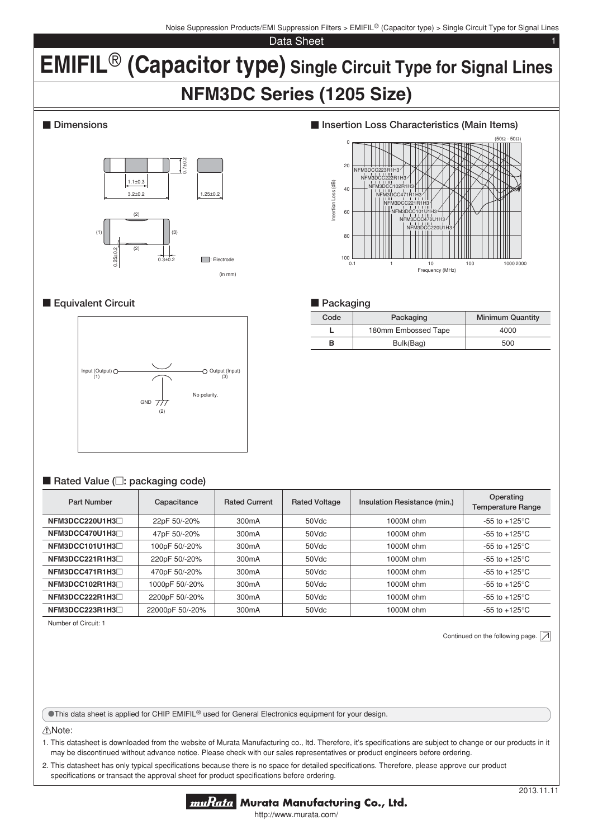Noise Suppression Products/EMI Suppression Filters > EMIFIL® (Capacitor type) > Single Circuit Type for Signal Lines

Data Sheet

# **EMIFIL<sup>®</sup> (Capacitor type)** Single Circuit Type for Signal Lines **NFM3DC Series (1205 Size)**

## $\blacksquare$  Dimensions



# **Equivalent Circuit**



## ■ Rated Value (□: packaging code)

| <b>Part Number</b>   | Capacitance     | <b>Rated Current</b> | <b>Rated Voltage</b> | Insulation Resistance (min.) | Operating<br><b>Temperature Range</b> |
|----------------------|-----------------|----------------------|----------------------|------------------------------|---------------------------------------|
| $NFM3DCC220U1H3\Box$ | 22pF 50/-20%    | 300 <sub>m</sub> A   | 50Vdc                | 1000M ohm                    | $-55$ to $+125^{\circ}$ C             |
| NFM3DCC470U1H3       | 47pF 50/-20%    | 300 <sub>m</sub> A   | 50Vdc                | 1000M ohm                    | -55 to +125 $\mathrm{^{\circ}C}$      |
| NFM3DCC101U1H3       | 100pF 50/-20%   | 300 <sub>m</sub> A   | 50Vdc                | 1000M ohm                    | $-55$ to $+125^{\circ}$ C             |
| NFM3DCC221R1H3       | 220pF 50/-20%   | 300 <sub>m</sub> A   | 50Vdc                | 1000M ohm                    | $-55$ to $+125^{\circ}$ C             |
| NFM3DCC471R1H3       | 470pF 50/-20%   | 300 <sub>m</sub> A   | 50Vdc                | 1000M ohm                    | -55 to +125 $\mathrm{^{\circ}C}$      |
| NFM3DCC102R1H3       | 1000pF 50/-20%  | 300 <sub>m</sub> A   | 50Vdc                | 1000M ohm                    | -55 to +125 $\mathrm{^{\circ}C}$      |
| NFM3DCC222R1H3       | 2200pF 50/-20%  | 300 <sub>m</sub> A   | 50Vdc                | 1000M ohm                    | -55 to +125 $\mathrm{^{\circ}C}$      |
| NFM3DCC223R1H3       | 22000pF 50/-20% | 300 <sub>m</sub> A   | 50Vdc                | 1000M ohm                    | $-55$ to $+125^{\circ}$ C             |

Number of Circuit: 1

Continued on the following page.  $\boxed{\nearrow}$ 

**OThis data sheet is applied for CHIP EMIFIL® used for General Electronics equipment for your design.** 

#### !Note:

1. This datasheet is downloaded from the website of Murata Manufacturing co., Itd. Therefore, it's specifications are subject to change or our products in it may be discontinued without advance notice. Please check with our sales representatives or product engineers before ordering.

2. This datasheet has only typical specifications because there is no space for detailed specifications. Therefore, please approve our product specifications or transact the approval sheet for product specifications before ordering.



**■ Insertion Loss Characteristics (Main Items)** 

#### **Packaging**

| Code | Packaging           | <b>Minimum Quantity</b> |
|------|---------------------|-------------------------|
|      | 180mm Embossed Tape | 4000                    |
| в    | Bulk(Bag)           | 500                     |